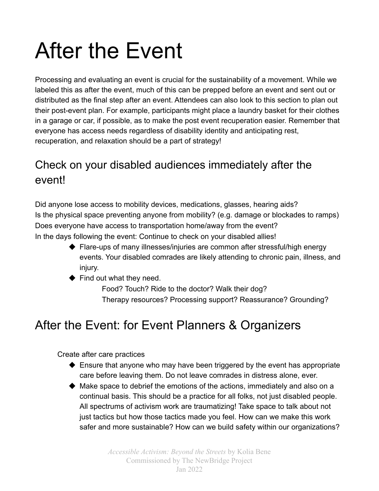## After the Event

Processing and evaluating an event is crucial for the sustainability of a movement. While we labeled this as after the event, much of this can be prepped before an event and sent out or distributed as the final step after an event. Attendees can also look to this section to plan out their post-event plan. For example, participants might place a laundry basket for their clothes in a garage or car, if possible, as to make the post event recuperation easier. Remember that everyone has access needs regardless of disability identity and anticipating rest, recuperation, and relaxation should be a part of strategy!

## Check on your disabled audiences immediately after the event!

Did anyone lose access to mobility devices, medications, glasses, hearing aids? Is the physical space preventing anyone from mobility? (e.g. damage or blockades to ramps) Does everyone have access to transportation home/away from the event? In the days following the event: Continue to check on your disabled allies!

- ◆ Flare-ups of many illnesses/injuries are common after stressful/high energy events. Your disabled comrades are likely attending to chronic pain, illness, and injury.
- $\blacklozenge$  Find out what they need.

Food? Touch? Ride to the doctor? Walk their dog? Therapy resources? Processing support? Reassurance? Grounding?

## After the Event: for Event Planners & Organizers

Create after care practices

- ◆ Ensure that anyone who may have been triggered by the event has appropriate care before leaving them. Do not leave comrades in distress alone, ever.
- $\blacklozenge$  Make space to debrief the emotions of the actions, immediately and also on a continual basis. This should be a practice for all folks, not just disabled people. All spectrums of activism work are traumatizing! Take space to talk about not just tactics but how those tactics made you feel. How can we make this work safer and more sustainable? How can we build safety within our organizations?